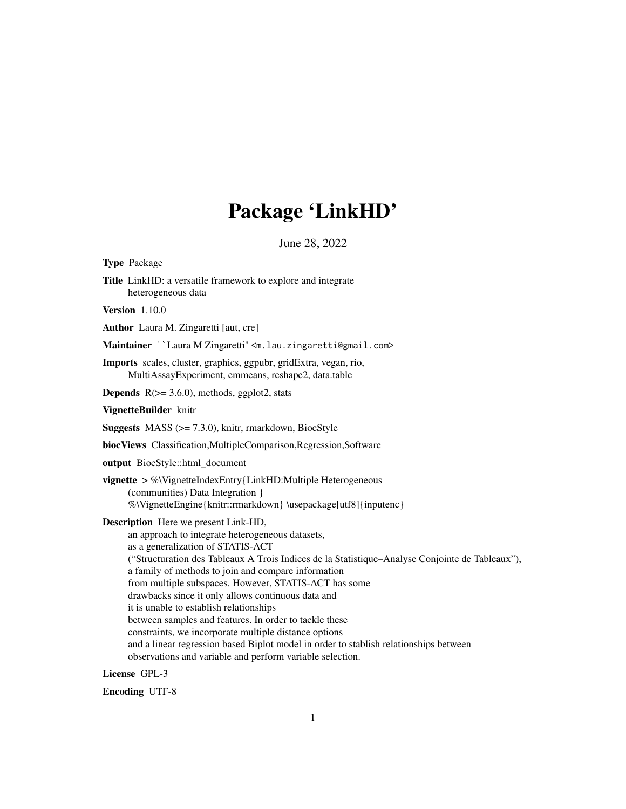## Package 'LinkHD'

June 28, 2022

Type Package Title LinkHD: a versatile framework to explore and integrate heterogeneous data Version 1.10.0 Author Laura M. Zingaretti [aut, cre] Maintainer ``Laura M Zingaretti" <m.lau.zingaretti@gmail.com> Imports scales, cluster, graphics, ggpubr, gridExtra, vegan, rio, MultiAssayExperiment, emmeans, reshape2, data.table **Depends**  $R$ ( $>= 3.6.0$ ), methods, ggplot2, stats VignetteBuilder knitr **Suggests** MASS  $(>= 7.3.0)$ , knitr, rmarkdown, BiocStyle biocViews Classification,MultipleComparison,Regression,Software output BiocStyle::html\_document vignette > %\VignetteIndexEntry{LinkHD:Multiple Heterogeneous (communities) Data Integration } %\VignetteEngine{knitr::rmarkdown} \usepackage[utf8]{inputenc} Description Here we present Link-HD, an approach to integrate heterogeneous datasets, as a generalization of STATIS-ACT ("Structuration des Tableaux A Trois Indices de la Statistique–Analyse Conjointe de Tableaux"), a family of methods to join and compare information from multiple subspaces. However, STATIS-ACT has some drawbacks since it only allows continuous data and it is unable to establish relationships between samples and features. In order to tackle these constraints, we incorporate multiple distance options and a linear regression based Biplot model in order to stablish relationships between observations and variable and perform variable selection.

License GPL-3

Encoding UTF-8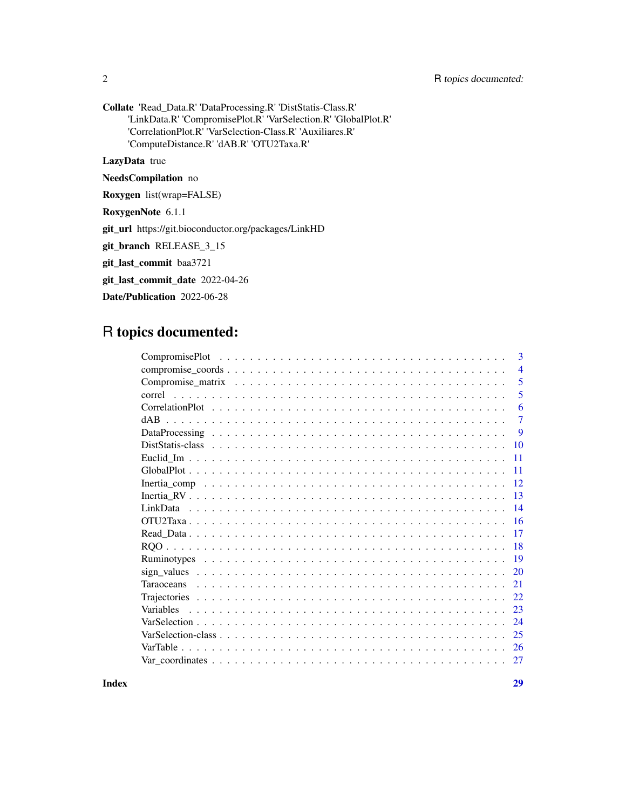2 R topics documented:

Collate 'Read\_Data.R' 'DataProcessing.R' 'DistStatis-Class.R' 'LinkData.R' 'CompromisePlot.R' 'VarSelection.R' 'GlobalPlot.R' 'CorrelationPlot.R' 'VarSelection-Class.R' 'Auxiliares.R' 'ComputeDistance.R' 'dAB.R' 'OTU2Taxa.R'

LazyData true

NeedsCompilation no

Roxygen list(wrap=FALSE)

RoxygenNote 6.1.1

git\_url https://git.bioconductor.org/packages/LinkHD

git\_branch RELEASE\_3\_15

git\_last\_commit baa3721

git\_last\_commit\_date 2022-04-26

Date/Publication 2022-06-28

## R topics documented:

| 3              |
|----------------|
| $\overline{4}$ |
| 5              |
| 5              |
| 6              |
| 7              |
| 9              |
| 10             |
| -11            |
| 11             |
| <sup>12</sup>  |
| 13             |
| 14             |
| 16             |
| 17             |
| <b>18</b>      |
|                |
| 20             |
| 21             |
| 22             |
| 23             |
| 24             |
| 25             |
| 26             |
| 27             |
|                |

**Index** [29](#page-28-0)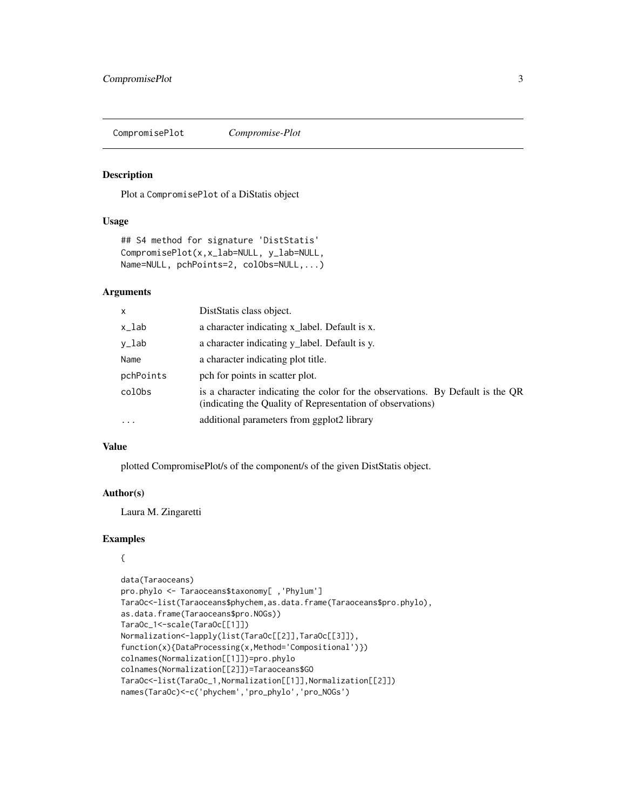<span id="page-2-0"></span>CompromisePlot *Compromise-Plot*

#### Description

Plot a CompromisePlot of a DiStatis object

#### Usage

```
## S4 method for signature 'DistStatis'
CompromisePlot(x,x_lab=NULL, y_lab=NULL,
Name=NULL, pchPoints=2, colObs=NULL,...)
```
## Arguments

| x         | DistStatis class object.                                                                                                                     |
|-----------|----------------------------------------------------------------------------------------------------------------------------------------------|
| x_lab     | a character indicating x_label. Default is x.                                                                                                |
| y_lab     | a character indicating y_label. Default is y.                                                                                                |
| Name      | a character indicating plot title.                                                                                                           |
| pchPoints | pch for points in scatter plot.                                                                                                              |
| colObs    | is a character indicating the color for the observations. By Default is the QR<br>(indicating the Quality of Representation of observations) |
| $\cdots$  | additional parameters from ggplot2 library                                                                                                   |

#### Value

plotted CompromisePlot/s of the component/s of the given DistStatis object.

#### Author(s)

Laura M. Zingaretti

```
{
```

```
data(Taraoceans)
pro.phylo <- Taraoceans$taxonomy[ ,'Phylum']
TaraOc<-list(Taraoceans$phychem,as.data.frame(Taraoceans$pro.phylo),
as.data.frame(Taraoceans$pro.NOGs))
TaraOc_1<-scale(TaraOc[[1]])
Normalization<-lapply(list(TaraOc[[2]],TaraOc[[3]]),
function(x){DataProcessing(x,Method='Compositional')})
colnames(Normalization[[1]])=pro.phylo
colnames(Normalization[[2]])=Taraoceans$GO
TaraOc<-list(TaraOc_1,Normalization[[1]],Normalization[[2]])
names(TaraOc)<-c('phychem','pro_phylo','pro_NOGs')
```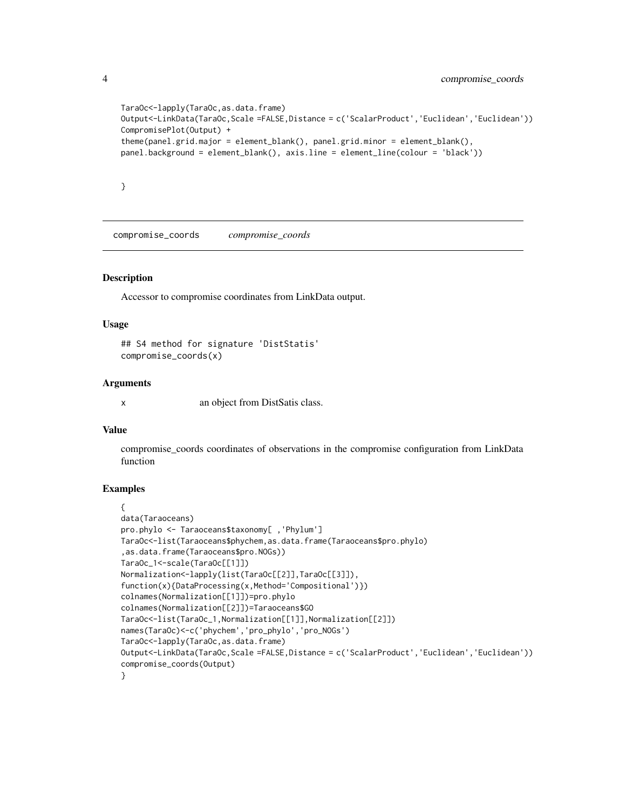```
TaraOc<-lapply(TaraOc,as.data.frame)
Output<-LinkData(TaraOc,Scale =FALSE,Distance = c('ScalarProduct','Euclidean','Euclidean'))
CompromisePlot(Output) +
theme(panel.grid.major = element_blank(), panel.grid.minor = element_blank(),
panel.background = element_blank(), axis.line = element_line(colour = 'black'))
```
}

compromise\_coords *compromise\_coords*

#### **Description**

Accessor to compromise coordinates from LinkData output.

#### Usage

```
## S4 method for signature 'DistStatis'
compromise_coords(x)
```
#### Arguments

x an object from DistSatis class.

#### Value

compromise\_coords coordinates of observations in the compromise configuration from LinkData function

```
{
data(Taraoceans)
pro.phylo <- Taraoceans$taxonomy[ ,'Phylum']
TaraOc<-list(Taraoceans$phychem,as.data.frame(Taraoceans$pro.phylo)
,as.data.frame(Taraoceans$pro.NOGs))
TaraOc_1<-scale(TaraOc[[1]])
Normalization<-lapply(list(TaraOc[[2]],TaraOc[[3]]),
function(x){DataProcessing(x,Method='Compositional')})
colnames(Normalization[[1]])=pro.phylo
colnames(Normalization[[2]])=Taraoceans$GO
TaraOc<-list(TaraOc_1,Normalization[[1]],Normalization[[2]])
names(TaraOc)<-c('phychem','pro_phylo','pro_NOGs')
TaraOc<-lapply(TaraOc,as.data.frame)
Output<-LinkData(TaraOc,Scale =FALSE,Distance = c('ScalarProduct','Euclidean','Euclidean'))
compromise_coords(Output)
}
```
<span id="page-3-0"></span>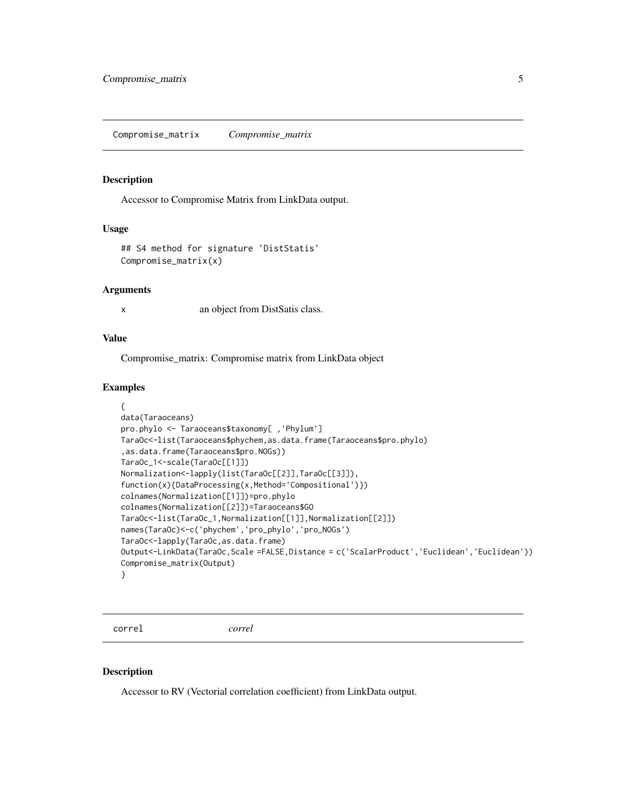<span id="page-4-0"></span>Compromise\_matrix *Compromise\_matrix*

## Description

Accessor to Compromise Matrix from LinkData output.

#### Usage

```
## S4 method for signature 'DistStatis'
Compromise_matrix(x)
```
#### Arguments

x an object from DistSatis class.

## Value

Compromise\_matrix: Compromise matrix from LinkData object

#### Examples

```
{
data(Taraoceans)
pro.phylo <- Taraoceans$taxonomy[ ,'Phylum']
TaraOc<-list(Taraoceans$phychem,as.data.frame(Taraoceans$pro.phylo)
,as.data.frame(Taraoceans$pro.NOGs))
TaraOc_1<-scale(TaraOc[[1]])
Normalization<-lapply(list(TaraOc[[2]],TaraOc[[3]]),
function(x){DataProcessing(x,Method='Compositional')})
colnames(Normalization[[1]])=pro.phylo
colnames(Normalization[[2]])=Taraoceans$GO
TaraOc<-list(TaraOc_1,Normalization[[1]],Normalization[[2]])
names(TaraOc)<-c('phychem','pro_phylo','pro_NOGs')
TaraOc<-lapply(TaraOc,as.data.frame)
Output<-LinkData(TaraOc,Scale =FALSE,Distance = c('ScalarProduct','Euclidean','Euclidean'))
Compromise_matrix(Output)
}
```
correl *correl*

#### Description

Accessor to RV (Vectorial correlation coefficient) from LinkData output.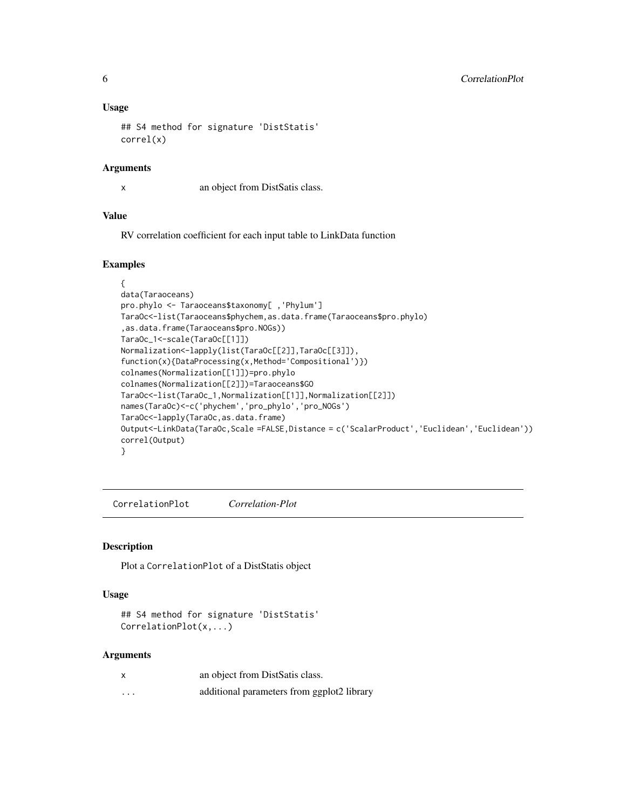#### <span id="page-5-0"></span>Usage

```
## S4 method for signature 'DistStatis'
correl(x)
```
## Arguments

x an object from DistSatis class.

#### Value

RV correlation coefficient for each input table to LinkData function

## Examples

```
{
data(Taraoceans)
pro.phylo <- Taraoceans$taxonomy[ ,'Phylum']
TaraOc<-list(Taraoceans$phychem,as.data.frame(Taraoceans$pro.phylo)
,as.data.frame(Taraoceans$pro.NOGs))
TaraOc_1<-scale(TaraOc[[1]])
Normalization<-lapply(list(TaraOc[[2]],TaraOc[[3]]),
function(x){DataProcessing(x,Method='Compositional')})
colnames(Normalization[[1]])=pro.phylo
colnames(Normalization[[2]])=Taraoceans$GO
TaraOc<-list(TaraOc_1,Normalization[[1]],Normalization[[2]])
names(TaraOc)<-c('phychem','pro_phylo','pro_NOGs')
TaraOc<-lapply(TaraOc,as.data.frame)
Output<-LinkData(TaraOc,Scale =FALSE,Distance = c('ScalarProduct','Euclidean','Euclidean'))
correl(Output)
}
```
CorrelationPlot *Correlation-Plot*

## Description

Plot a CorrelationPlot of a DistStatis object

#### Usage

```
## S4 method for signature 'DistStatis'
CorrelationPlot(x,...)
```
#### Arguments

| $\boldsymbol{\mathsf{x}}$ | an object from DistSatis class.            |
|---------------------------|--------------------------------------------|
| .                         | additional parameters from ggplot2 library |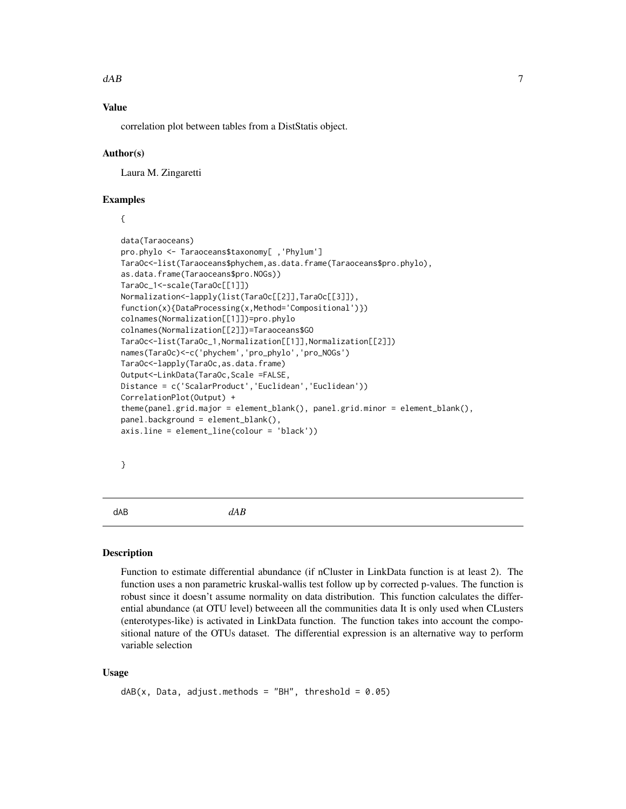#### <span id="page-6-0"></span> $dAB$  7

## Value

correlation plot between tables from a DistStatis object.

#### Author(s)

Laura M. Zingaretti

#### Examples

{

```
data(Taraoceans)
pro.phylo <- Taraoceans$taxonomy[ ,'Phylum']
TaraOc<-list(Taraoceans$phychem,as.data.frame(Taraoceans$pro.phylo),
as.data.frame(Taraoceans$pro.NOGs))
TaraOc_1<-scale(TaraOc[[1]])
Normalization<-lapply(list(TaraOc[[2]],TaraOc[[3]]),
function(x){DataProcessing(x,Method='Compositional')})
colnames(Normalization[[1]])=pro.phylo
colnames(Normalization[[2]])=Taraoceans$GO
TaraOc<-list(TaraOc_1,Normalization[[1]],Normalization[[2]])
names(TaraOc)<-c('phychem','pro_phylo','pro_NOGs')
TaraOc<-lapply(TaraOc,as.data.frame)
Output<-LinkData(TaraOc,Scale =FALSE,
Distance = c('ScalarProduct','Euclidean','Euclidean'))
CorrelationPlot(Output) +
theme(panel.grid.major = element_blank(), panel.grid.minor = element_blank(),
panel.background = element_blank(),
axis.line = element_line(colour = 'black'))
```
}

dAB *dAB*

#### **Description**

Function to estimate differential abundance (if nCluster in LinkData function is at least 2). The function uses a non parametric kruskal-wallis test follow up by corrected p-values. The function is robust since it doesn't assume normality on data distribution. This function calculates the differential abundance (at OTU level) betweeen all the communities data It is only used when CLusters (enterotypes-like) is activated in LinkData function. The function takes into account the compositional nature of the OTUs dataset. The differential expression is an alternative way to perform variable selection

#### Usage

```
dAB(x, Data, adjust. methods = "BH", threshold = 0.05)
```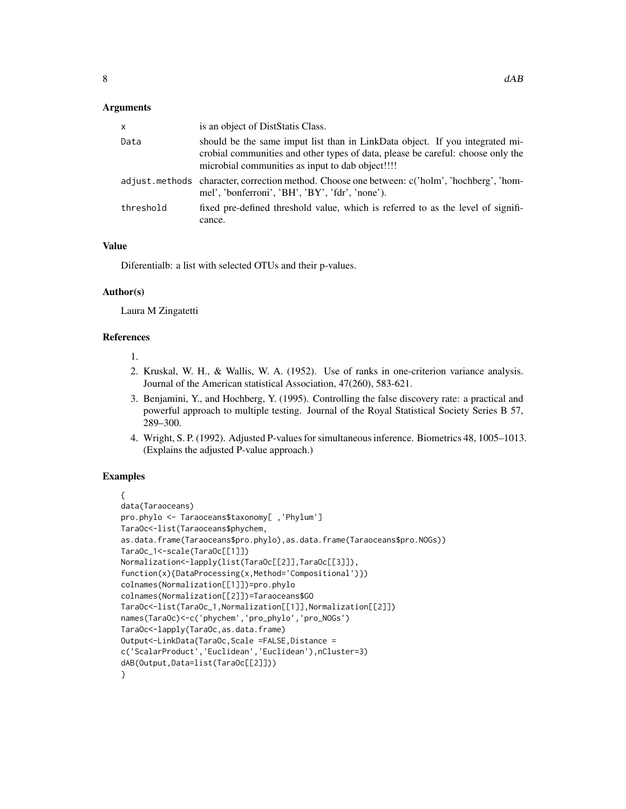#### Arguments

| x         | is an object of DistStatis Class.                                                                                                                                                                                   |
|-----------|---------------------------------------------------------------------------------------------------------------------------------------------------------------------------------------------------------------------|
| Data      | should be the same imput list than in LinkData object. If you integrated mi-<br>crobial communities and other types of data, please be careful: choose only the<br>microbial communities as input to dab object!!!! |
|           | adjust.methods character, correction method. Choose one between: c('holm', 'hochberg', 'hom-<br>mel', 'bonferroni', 'BH', 'BY', 'fdr', 'none').                                                                     |
| threshold | fixed pre-defined threshold value, which is referred to as the level of signifi-<br>cance.                                                                                                                          |

## Value

Diferentialb: a list with selected OTUs and their p-values.

## Author(s)

Laura M Zingatetti

## References

- 1.
- 2. Kruskal, W. H., & Wallis, W. A. (1952). Use of ranks in one-criterion variance analysis. Journal of the American statistical Association, 47(260), 583-621.
- 3. Benjamini, Y., and Hochberg, Y. (1995). Controlling the false discovery rate: a practical and powerful approach to multiple testing. Journal of the Royal Statistical Society Series B 57, 289–300.
- 4. Wright, S. P. (1992). Adjusted P-values for simultaneous inference. Biometrics 48, 1005–1013. (Explains the adjusted P-value approach.)

```
{
data(Taraoceans)
pro.phylo <- Taraoceans$taxonomy[ ,'Phylum']
TaraOc<-list(Taraoceans$phychem,
as.data.frame(Taraoceans$pro.phylo),as.data.frame(Taraoceans$pro.NOGs))
TaraOc_1<-scale(TaraOc[[1]])
Normalization<-lapply(list(TaraOc[[2]],TaraOc[[3]]),
function(x){DataProcessing(x,Method='Compositional')})
colnames(Normalization[[1]])=pro.phylo
colnames(Normalization[[2]])=Taraoceans$GO
TaraOc<-list(TaraOc_1,Normalization[[1]],Normalization[[2]])
names(TaraOc)<-c('phychem','pro_phylo','pro_NOGs')
TaraOc<-lapply(TaraOc,as.data.frame)
Output<-LinkData(TaraOc,Scale =FALSE,Distance =
c('ScalarProduct','Euclidean','Euclidean'),nCluster=3)
dAB(Output,Data=list(TaraOc[[2]]))
}
```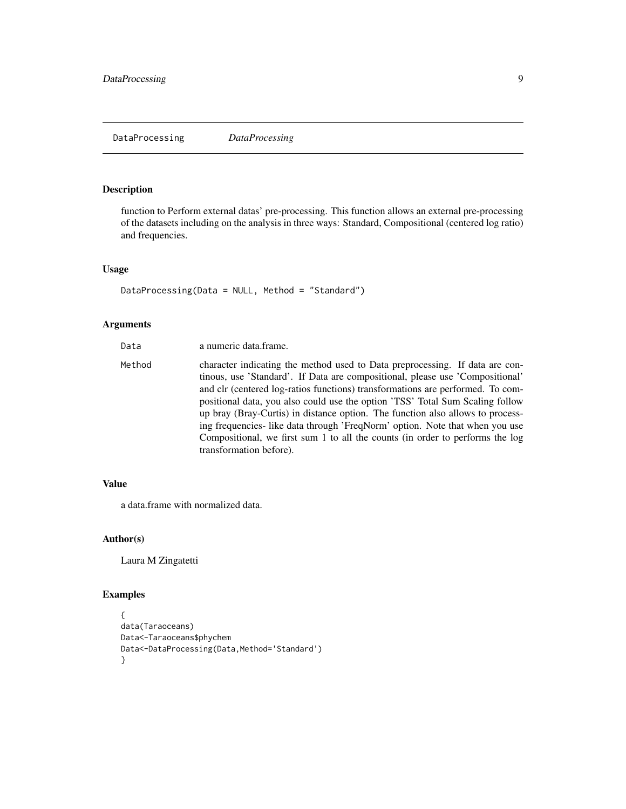## <span id="page-8-0"></span>Description

function to Perform external datas' pre-processing. This function allows an external pre-processing of the datasets including on the analysis in three ways: Standard, Compositional (centered log ratio) and frequencies.

## Usage

DataProcessing(Data = NULL, Method = "Standard")

## Arguments

| Data   | a numeric data frame.                                                                                                                                                                                                                                                                                                                                                                                                                                                                                                                                                                                          |
|--------|----------------------------------------------------------------------------------------------------------------------------------------------------------------------------------------------------------------------------------------------------------------------------------------------------------------------------------------------------------------------------------------------------------------------------------------------------------------------------------------------------------------------------------------------------------------------------------------------------------------|
| Method | character indicating the method used to Data preprocessing. If data are con-<br>tinous, use 'Standard'. If Data are compositional, please use 'Compositional'<br>and clr (centered log-ratios functions) transformations are performed. To com-<br>positional data, you also could use the option 'TSS' Total Sum Scaling follow<br>up bray (Bray-Curtis) in distance option. The function also allows to process-<br>ing frequencies- like data through 'FreqNorm' option. Note that when you use<br>Compositional, we first sum 1 to all the counts (in order to performs the log<br>transformation before). |

## Value

a data.frame with normalized data.

## Author(s)

Laura M Zingatetti

```
{
data(Taraoceans)
Data<-Taraoceans$phychem
Data<-DataProcessing(Data,Method='Standard')
}
```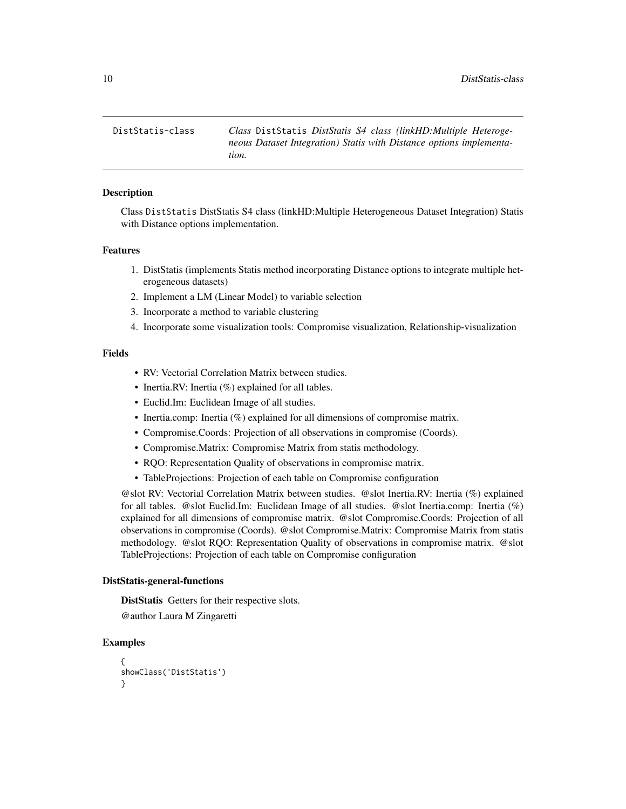<span id="page-9-0"></span>DistStatis-class *Class* DistStatis *DistStatis S4 class (linkHD:Multiple Heterogeneous Dataset Integration) Statis with Distance options implementation.*

#### **Description**

Class DistStatis DistStatis S4 class (linkHD:Multiple Heterogeneous Dataset Integration) Statis with Distance options implementation.

#### Features

- 1. DistStatis (implements Statis method incorporating Distance options to integrate multiple heterogeneous datasets)
- 2. Implement a LM (Linear Model) to variable selection
- 3. Incorporate a method to variable clustering
- 4. Incorporate some visualization tools: Compromise visualization, Relationship-visualization

## Fields

- RV: Vectorial Correlation Matrix between studies.
- Inertia.RV: Inertia (%) explained for all tables.
- Euclid.Im: Euclidean Image of all studies.
- Inertia.comp: Inertia (%) explained for all dimensions of compromise matrix.
- Compromise.Coords: Projection of all observations in compromise (Coords).
- Compromise.Matrix: Compromise Matrix from statis methodology.
- RQO: Representation Quality of observations in compromise matrix.
- TableProjections: Projection of each table on Compromise configuration

@slot RV: Vectorial Correlation Matrix between studies. @slot Inertia.RV: Inertia (%) explained for all tables. @slot Euclid.Im: Euclidean Image of all studies. @slot Inertia.comp: Inertia (%) explained for all dimensions of compromise matrix. @slot Compromise.Coords: Projection of all observations in compromise (Coords). @slot Compromise.Matrix: Compromise Matrix from statis methodology. @slot RQO: Representation Quality of observations in compromise matrix. @slot TableProjections: Projection of each table on Compromise configuration

#### DistStatis-general-functions

DistStatis Getters for their respective slots.

@author Laura M Zingaretti

```
{
showClass('DistStatis')
}
```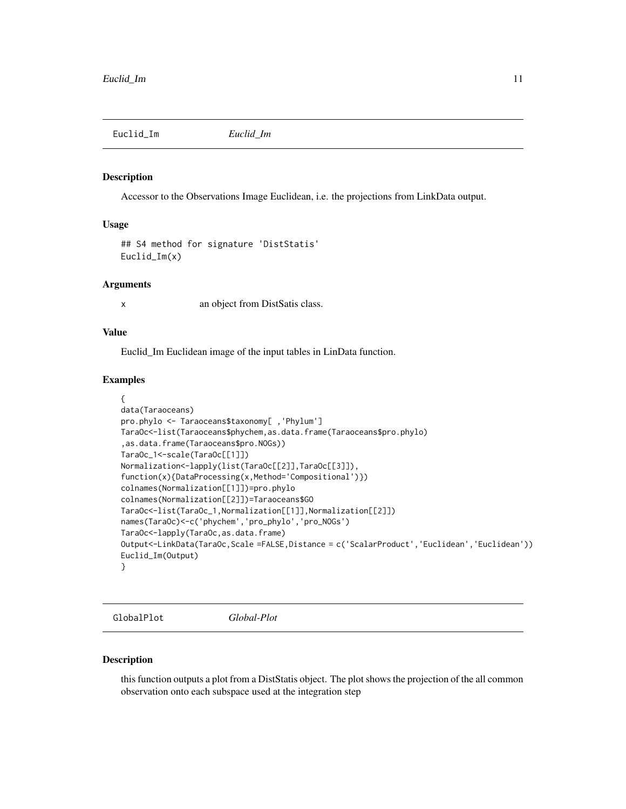<span id="page-10-0"></span>Euclid\_Im *Euclid\_Im*

#### Description

Accessor to the Observations Image Euclidean, i.e. the projections from LinkData output.

## Usage

```
## S4 method for signature 'DistStatis'
Euclid_Im(x)
```
#### Arguments

x an object from DistSatis class.

## Value

Euclid\_Im Euclidean image of the input tables in LinData function.

#### Examples

```
{
data(Taraoceans)
pro.phylo <- Taraoceans$taxonomy[ ,'Phylum']
TaraOc<-list(Taraoceans$phychem,as.data.frame(Taraoceans$pro.phylo)
,as.data.frame(Taraoceans$pro.NOGs))
TaraOc_1<-scale(TaraOc[[1]])
Normalization<-lapply(list(TaraOc[[2]],TaraOc[[3]]),
function(x){DataProcessing(x,Method='Compositional')})
colnames(Normalization[[1]])=pro.phylo
colnames(Normalization[[2]])=Taraoceans$GO
TaraOc<-list(TaraOc_1,Normalization[[1]],Normalization[[2]])
names(TaraOc)<-c('phychem','pro_phylo','pro_NOGs')
TaraOc<-lapply(TaraOc,as.data.frame)
Output<-LinkData(TaraOc,Scale =FALSE,Distance = c('ScalarProduct','Euclidean','Euclidean'))
Euclid_Im(Output)
}
```
GlobalPlot *Global-Plot*

#### Description

this function outputs a plot from a DistStatis object. The plot shows the projection of the all common observation onto each subspace used at the integration step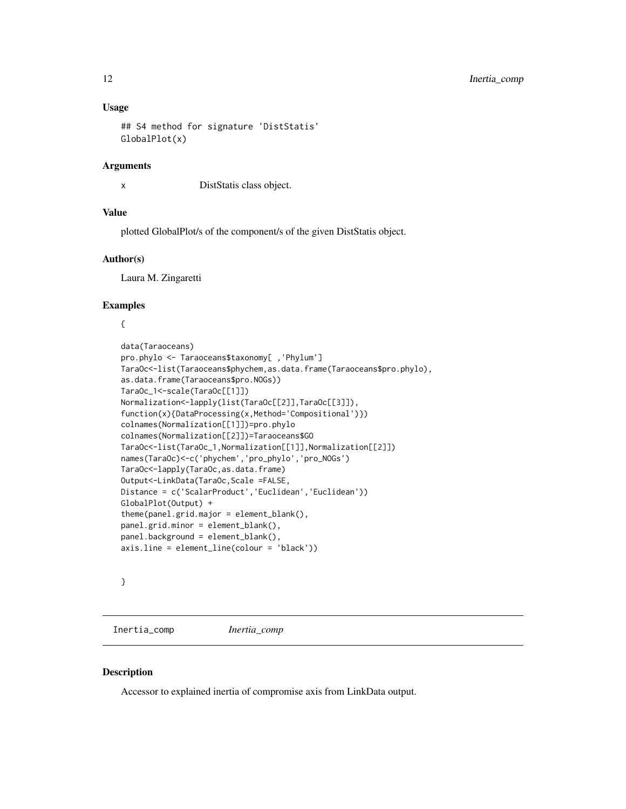#### <span id="page-11-0"></span>Usage

```
## S4 method for signature 'DistStatis'
GlobalPlot(x)
```
#### Arguments

x DistStatis class object.

#### Value

plotted GlobalPlot/s of the component/s of the given DistStatis object.

#### Author(s)

Laura M. Zingaretti

#### Examples

{

```
data(Taraoceans)
pro.phylo <- Taraoceans$taxonomy[ ,'Phylum']
TaraOc<-list(Taraoceans$phychem,as.data.frame(Taraoceans$pro.phylo),
as.data.frame(Taraoceans$pro.NOGs))
TaraOc_1<-scale(TaraOc[[1]])
Normalization<-lapply(list(TaraOc[[2]],TaraOc[[3]]),
function(x){DataProcessing(x,Method='Compositional')})
colnames(Normalization[[1]])=pro.phylo
colnames(Normalization[[2]])=Taraoceans$GO
TaraOc<-list(TaraOc_1,Normalization[[1]],Normalization[[2]])
names(TaraOc)<-c('phychem','pro_phylo','pro_NOGs')
TaraOc<-lapply(TaraOc,as.data.frame)
Output<-LinkData(TaraOc,Scale =FALSE,
Distance = c('ScalarProduct','Euclidean','Euclidean'))
GlobalPlot(Output) +
theme(panel.grid.major = element_blank(),
panel.grid.minor = element_blank(),
panel.background = element_blank(),
axis.line = element_line(colour = 'black'))
```
## }

Inertia\_comp *Inertia\_comp*

#### Description

Accessor to explained inertia of compromise axis from LinkData output.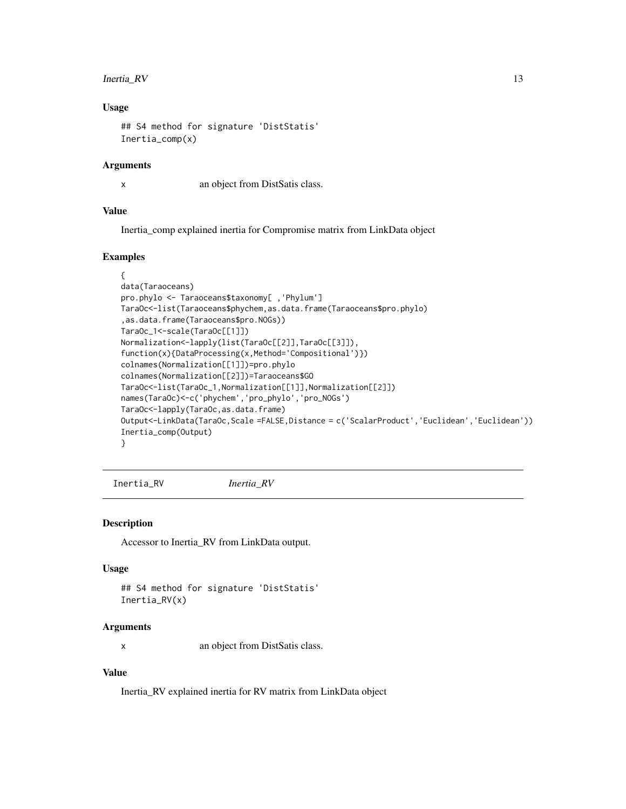#### <span id="page-12-0"></span>Inertia\_RV 13

#### Usage

```
## S4 method for signature 'DistStatis'
Inertia_comp(x)
```
#### Arguments

x an object from DistSatis class.

## Value

Inertia\_comp explained inertia for Compromise matrix from LinkData object

## Examples

```
{
data(Taraoceans)
pro.phylo <- Taraoceans$taxonomy[ ,'Phylum']
TaraOc<-list(Taraoceans$phychem,as.data.frame(Taraoceans$pro.phylo)
,as.data.frame(Taraoceans$pro.NOGs))
TaraOc_1<-scale(TaraOc[[1]])
Normalization<-lapply(list(TaraOc[[2]],TaraOc[[3]]),
function(x){DataProcessing(x,Method='Compositional')})
colnames(Normalization[[1]])=pro.phylo
colnames(Normalization[[2]])=Taraoceans$GO
TaraOc<-list(TaraOc_1,Normalization[[1]],Normalization[[2]])
names(TaraOc)<-c('phychem','pro_phylo','pro_NOGs')
TaraOc<-lapply(TaraOc,as.data.frame)
Output<-LinkData(TaraOc,Scale =FALSE,Distance = c('ScalarProduct','Euclidean','Euclidean'))
Inertia_comp(Output)
}
```
Inertia\_RV *Inertia\_RV*

#### Description

Accessor to Inertia\_RV from LinkData output.

## Usage

```
## S4 method for signature 'DistStatis'
Inertia_RV(x)
```
#### Arguments

x an object from DistSatis class.

## Value

Inertia\_RV explained inertia for RV matrix from LinkData object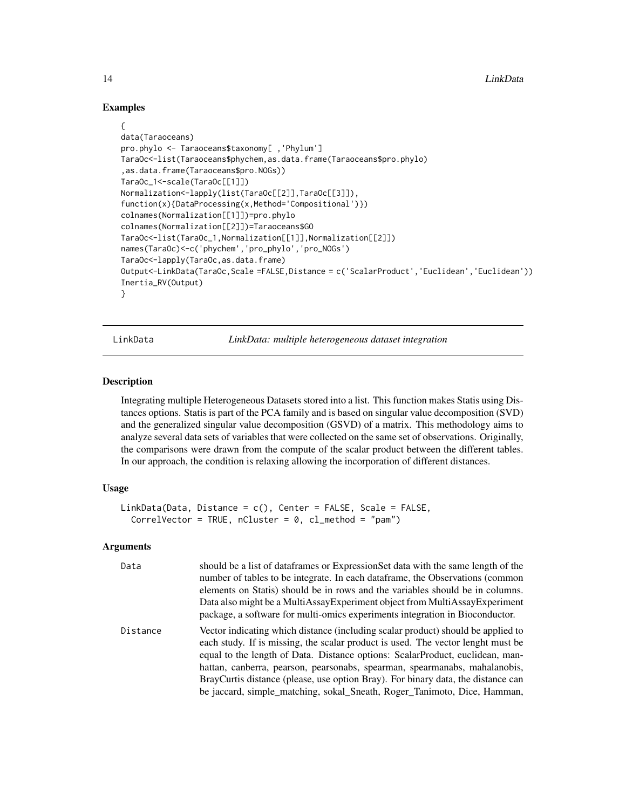## Examples

```
{
data(Taraoceans)
pro.phylo <- Taraoceans$taxonomy[ ,'Phylum']
TaraOc<-list(Taraoceans$phychem,as.data.frame(Taraoceans$pro.phylo)
,as.data.frame(Taraoceans$pro.NOGs))
TaraOc_1<-scale(TaraOc[[1]])
Normalization<-lapply(list(TaraOc[[2]],TaraOc[[3]]),
function(x){DataProcessing(x,Method='Compositional')})
colnames(Normalization[[1]])=pro.phylo
colnames(Normalization[[2]])=Taraoceans$GO
TaraOc<-list(TaraOc_1,Normalization[[1]],Normalization[[2]])
names(TaraOc)<-c('phychem','pro_phylo','pro_NOGs')
TaraOc<-lapply(TaraOc,as.data.frame)
Output<-LinkData(TaraOc,Scale =FALSE,Distance = c('ScalarProduct','Euclidean','Euclidean'))
Inertia_RV(Output)
}
```
LinkData *LinkData: multiple heterogeneous dataset integration*

## **Description**

Integrating multiple Heterogeneous Datasets stored into a list. This function makes Statis using Distances options. Statis is part of the PCA family and is based on singular value decomposition (SVD) and the generalized singular value decomposition (GSVD) of a matrix. This methodology aims to analyze several data sets of variables that were collected on the same set of observations. Originally, the comparisons were drawn from the compute of the scalar product between the different tables. In our approach, the condition is relaxing allowing the incorporation of different distances.

#### Usage

```
LinkData(Data, Distance = c(), Center = FALSE, Scale = FALSE,
 CorrelVector = TRUE, nCluster = 0, cl_method = "pam")
```
#### Arguments

| Data     | should be a list of dataframes or ExpressionSet data with the same length of the<br>number of tables to be integrate. In each data frame, the Observations (common<br>elements on Statis) should be in rows and the variables should be in columns.<br>Data also might be a MultiAssay Experiment object from MultiAssay Experiment<br>package, a software for multi-omics experiments integration in Bioconductor.                                                                                 |
|----------|-----------------------------------------------------------------------------------------------------------------------------------------------------------------------------------------------------------------------------------------------------------------------------------------------------------------------------------------------------------------------------------------------------------------------------------------------------------------------------------------------------|
| Distance | Vector indicating which distance (including scalar product) should be applied to<br>each study. If is missing, the scalar product is used. The vector lenght must be<br>equal to the length of Data. Distance options: ScalarProduct, euclidean, man-<br>hattan, canberra, pearson, pearsonabs, spearman, spearmanabs, mahalanobis,<br>BrayCurtis distance (please, use option Bray). For binary data, the distance can<br>be jaccard, simple_matching, sokal_Sneath, Roger_Tanimoto, Dice, Hamman, |

<span id="page-13-0"></span>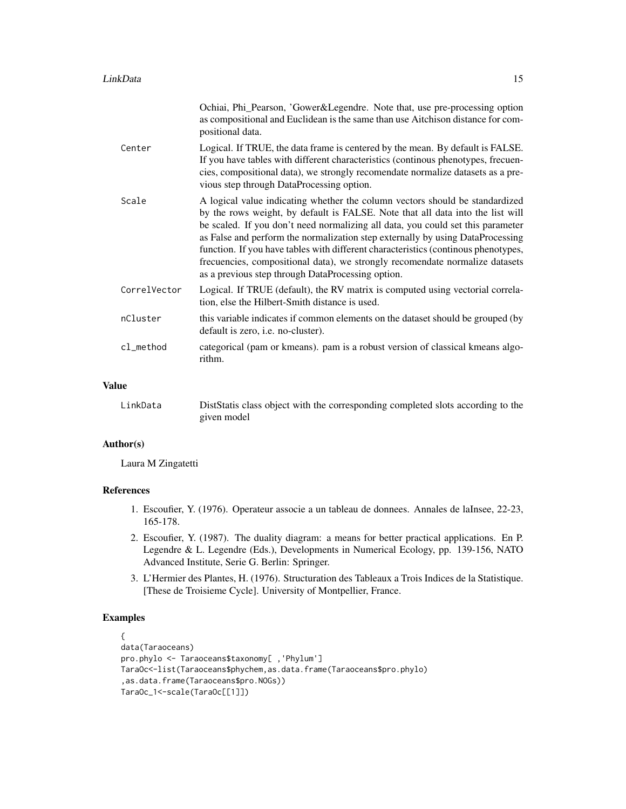|              | Ochiai, Phi_Pearson, 'Gower&Legendre. Note that, use pre-processing option<br>as compositional and Euclidean is the same than use Aitchison distance for com-<br>positional data.                                                                                                                                                                                                                                                                                                                                                                              |
|--------------|----------------------------------------------------------------------------------------------------------------------------------------------------------------------------------------------------------------------------------------------------------------------------------------------------------------------------------------------------------------------------------------------------------------------------------------------------------------------------------------------------------------------------------------------------------------|
| Center       | Logical. If TRUE, the data frame is centered by the mean. By default is FALSE.<br>If you have tables with different characteristics (continous phenotypes, frecuen-<br>cies, compositional data), we strongly recomendate normalize datasets as a pre-<br>vious step through DataProcessing option.                                                                                                                                                                                                                                                            |
| Scale        | A logical value indicating whether the column vectors should be standardized<br>by the rows weight, by default is FALSE. Note that all data into the list will<br>be scaled. If you don't need normalizing all data, you could set this parameter<br>as False and perform the normalization step externally by using DataProcessing<br>function. If you have tables with different characteristics (continous phenotypes,<br>frecuencies, compositional data), we strongly recomendate normalize datasets<br>as a previous step through DataProcessing option. |
| CorrelVector | Logical. If TRUE (default), the RV matrix is computed using vectorial correla-<br>tion, else the Hilbert-Smith distance is used.                                                                                                                                                                                                                                                                                                                                                                                                                               |
| nCluster     | this variable indicates if common elements on the dataset should be grouped (by<br>default is zero, <i>i.e.</i> no-cluster).                                                                                                                                                                                                                                                                                                                                                                                                                                   |
| cl_method    | categorical (pam or kmeans). pam is a robust version of classical kmeans algo-<br>rithm.                                                                                                                                                                                                                                                                                                                                                                                                                                                                       |
| متتا         |                                                                                                                                                                                                                                                                                                                                                                                                                                                                                                                                                                |

## Value

LinkData DistStatis class object with the corresponding completed slots according to the given model

## Author(s)

Laura M Zingatetti

#### References

- 1. Escoufier, Y. (1976). Operateur associe a un tableau de donnees. Annales de laInsee, 22-23, 165-178.
- 2. Escoufier, Y. (1987). The duality diagram: a means for better practical applications. En P. Legendre & L. Legendre (Eds.), Developments in Numerical Ecology, pp. 139-156, NATO Advanced Institute, Serie G. Berlin: Springer.
- 3. L'Hermier des Plantes, H. (1976). Structuration des Tableaux a Trois Indices de la Statistique. [These de Troisieme Cycle]. University of Montpellier, France.

```
{
data(Taraoceans)
pro.phylo <- Taraoceans$taxonomy[ ,'Phylum']
TaraOc<-list(Taraoceans$phychem,as.data.frame(Taraoceans$pro.phylo)
,as.data.frame(Taraoceans$pro.NOGs))
TaraOc_1<-scale(TaraOc[[1]])
```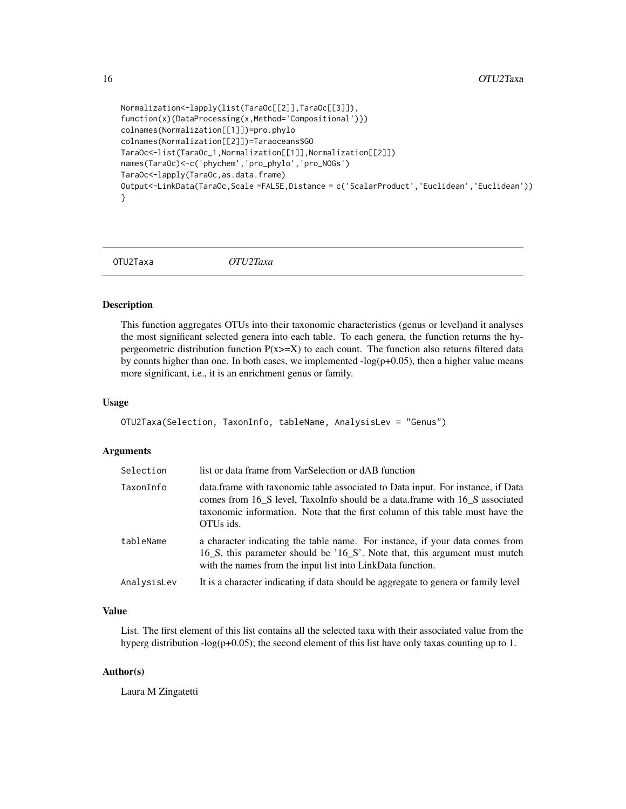```
Normalization<-lapply(list(TaraOc[[2]],TaraOc[[3]]),
function(x){DataProcessing(x,Method='Compositional')})
colnames(Normalization[[1]])=pro.phylo
colnames(Normalization[[2]])=Taraoceans$GO
TaraOc<-list(TaraOc_1,Normalization[[1]],Normalization[[2]])
names(TaraOc)<-c('phychem','pro_phylo','pro_NOGs')
TaraOc<-lapply(TaraOc,as.data.frame)
Output<-LinkData(TaraOc,Scale =FALSE,Distance = c('ScalarProduct','Euclidean','Euclidean'))
}
```
OTU2Taxa *OTU2Taxa*

#### Description

This function aggregates OTUs into their taxonomic characteristics (genus or level)and it analyses the most significant selected genera into each table. To each genera, the function returns the hypergeometric distribution function  $P(x)=X$ ) to each count. The function also returns filtered data by counts higher than one. In both cases, we implemented  $-log(p+0.05)$ , then a higher value means more significant, i.e., it is an enrichment genus or family.

#### Usage

```
OTU2Taxa(Selection, TaxonInfo, tableName, AnalysisLev = "Genus")
```
#### Arguments

| Selection   | list or data frame from VarSelection or dAB function                                                                                                                                                                                                         |
|-------------|--------------------------------------------------------------------------------------------------------------------------------------------------------------------------------------------------------------------------------------------------------------|
| TaxonInfo   | data.frame with taxonomic table associated to Data input. For instance, if Data<br>comes from 16 S level, TaxoInfo should be a data.frame with 16 S associated<br>taxonomic information. Note that the first column of this table must have the<br>OTUs ids. |
| tableName   | a character indicating the table name. For instance, if your data comes from<br>16 S, this parameter should be '16 S'. Note that, this argument must mutch<br>with the names from the input list into LinkData function.                                     |
| AnalysisLev | It is a character indicating if data should be aggregate to genera or family level                                                                                                                                                                           |

## Value

List. The first element of this list contains all the selected taxa with their associated value from the hyperg distribution -log(p+0.05); the second element of this list have only taxas counting up to 1.

#### Author(s)

Laura M Zingatetti

<span id="page-15-0"></span>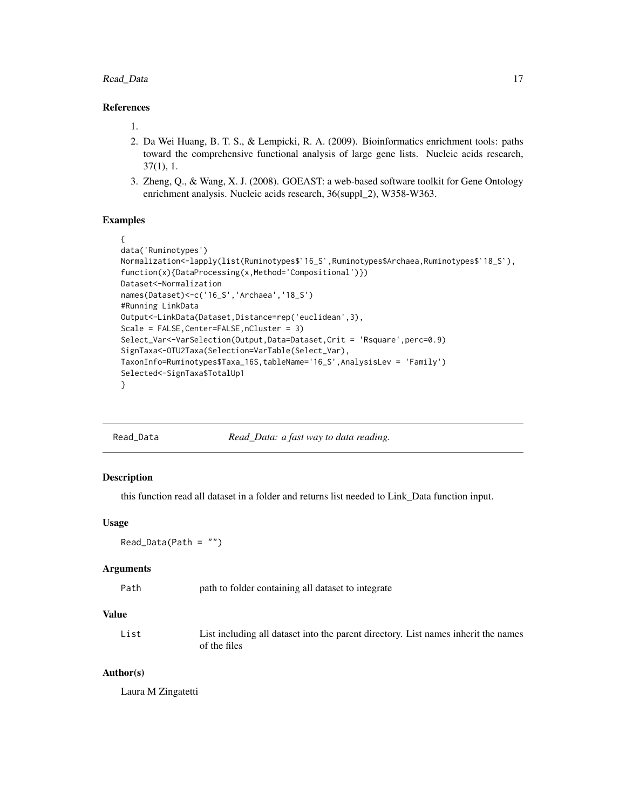#### <span id="page-16-0"></span>Read\_Data 17

## References

1.

- 2. Da Wei Huang, B. T. S., & Lempicki, R. A. (2009). Bioinformatics enrichment tools: paths toward the comprehensive functional analysis of large gene lists. Nucleic acids research, 37(1), 1.
- 3. Zheng, Q., & Wang, X. J. (2008). GOEAST: a web-based software toolkit for Gene Ontology enrichment analysis. Nucleic acids research, 36(suppl\_2), W358-W363.

## Examples

```
{
data('Ruminotypes')
Normalization<-lapply(list(Ruminotypes$`16_S`,Ruminotypes$Archaea,Ruminotypes$`18_S`),
function(x){DataProcessing(x,Method='Compositional')})
Dataset<-Normalization
names(Dataset)<-c('16_S','Archaea','18_S')
#Running LinkData
Output<-LinkData(Dataset,Distance=rep('euclidean',3),
Scale = FALSE, Center=FALSE, nCluster = 3)
Select_Var<-VarSelection(Output,Data=Dataset,Crit = 'Rsquare',perc=0.9)
SignTaxa<-OTU2Taxa(Selection=VarTable(Select_Var),
TaxonInfo=Ruminotypes$Taxa_16S,tableName='16_S',AnalysisLev = 'Family')
Selected<-SignTaxa$TotalUp1
}
```
Read\_Data *Read\_Data: a fast way to data reading.*

#### Description

this function read all dataset in a folder and returns list needed to Link\_Data function input.

#### Usage

Read\_Data(Path = "")

#### Arguments

| Path | path to folder containing all dataset to integrate |  |
|------|----------------------------------------------------|--|
|------|----------------------------------------------------|--|

#### Value

| List | List including all dataset into the parent directory. List names inherit the names |
|------|------------------------------------------------------------------------------------|
|      | of the files                                                                       |

#### Author(s)

Laura M Zingatetti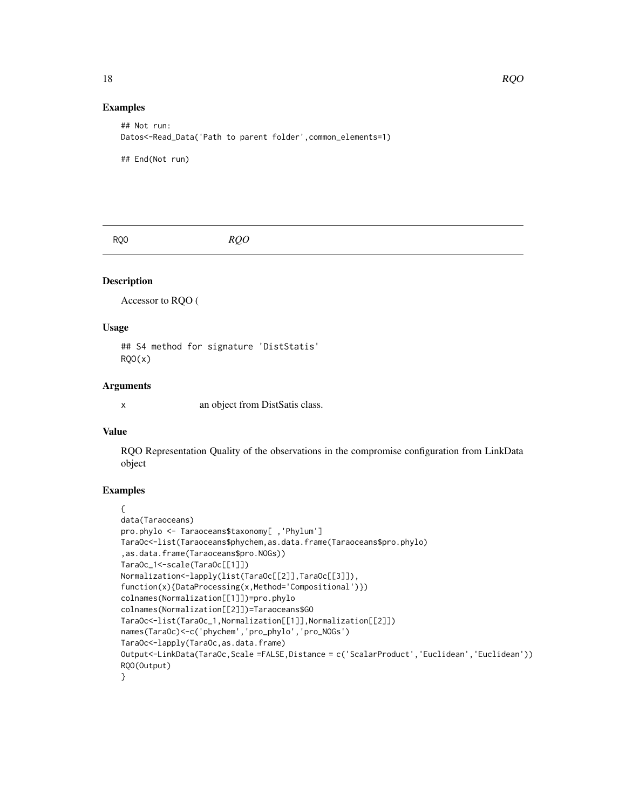## Examples

```
## Not run:
Datos<-Read_Data('Path to parent folder',common_elements=1)
## End(Not run)
```
RQO *RQO*

## Description

Accessor to RQO (

#### Usage

## S4 method for signature 'DistStatis'  $RQO(x)$ 

#### Arguments

x an object from DistSatis class.

## Value

RQO Representation Quality of the observations in the compromise configuration from LinkData object

```
{
data(Taraoceans)
pro.phylo <- Taraoceans$taxonomy[ ,'Phylum']
TaraOc<-list(Taraoceans$phychem,as.data.frame(Taraoceans$pro.phylo)
,as.data.frame(Taraoceans$pro.NOGs))
TaraOc_1<-scale(TaraOc[[1]])
Normalization<-lapply(list(TaraOc[[2]],TaraOc[[3]]),
function(x){DataProcessing(x,Method='Compositional')})
colnames(Normalization[[1]])=pro.phylo
colnames(Normalization[[2]])=Taraoceans$GO
TaraOc<-list(TaraOc_1,Normalization[[1]],Normalization[[2]])
names(TaraOc)<-c('phychem','pro_phylo','pro_NOGs')
TaraOc<-lapply(TaraOc,as.data.frame)
Output<-LinkData(TaraOc,Scale =FALSE,Distance = c('ScalarProduct','Euclidean','Euclidean'))
RQO(Output)
}
```
<span id="page-17-0"></span>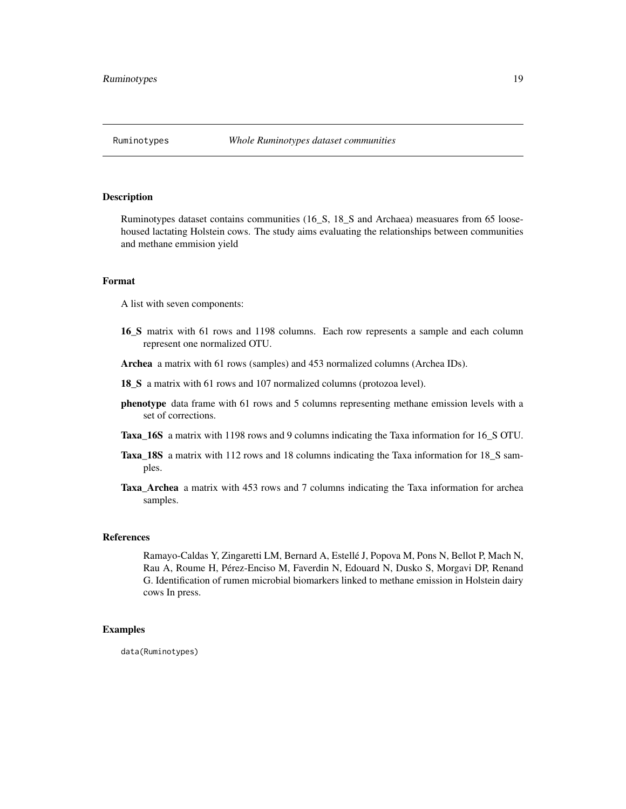<span id="page-18-0"></span>

#### Description

Ruminotypes dataset contains communities (16\_S, 18\_S and Archaea) measuares from 65 loosehoused lactating Holstein cows. The study aims evaluating the relationships between communities and methane emmision yield

## Format

A list with seven components:

- 16\_S matrix with 61 rows and 1198 columns. Each row represents a sample and each column represent one normalized OTU.
- Archea a matrix with 61 rows (samples) and 453 normalized columns (Archea IDs).
- 18\_S a matrix with 61 rows and 107 normalized columns (protozoa level).
- phenotype data frame with 61 rows and 5 columns representing methane emission levels with a set of corrections.
- Taxa\_16S a matrix with 1198 rows and 9 columns indicating the Taxa information for 16\_S OTU.
- Taxa\_18S a matrix with 112 rows and 18 columns indicating the Taxa information for 18\_S samples.
- Taxa\_Archea a matrix with 453 rows and 7 columns indicating the Taxa information for archea samples.

#### **References**

Ramayo-Caldas Y, Zingaretti LM, Bernard A, Estellé J, Popova M, Pons N, Bellot P, Mach N, Rau A, Roume H, Pérez-Enciso M, Faverdin N, Edouard N, Dusko S, Morgavi DP, Renand G. Identification of rumen microbial biomarkers linked to methane emission in Holstein dairy cows In press.

## Examples

data(Ruminotypes)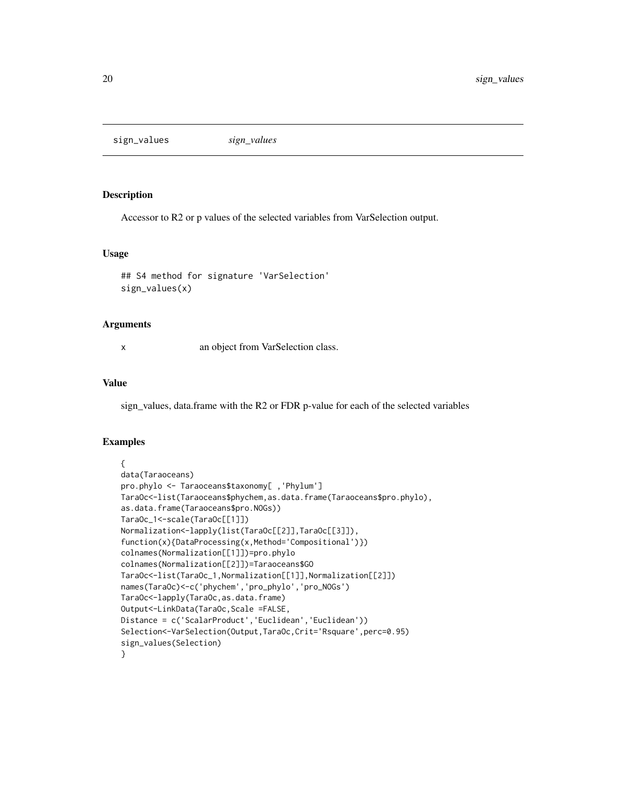<span id="page-19-0"></span>sign\_values *sign\_values*

#### Description

Accessor to R2 or p values of the selected variables from VarSelection output.

#### Usage

```
## S4 method for signature 'VarSelection'
sign_values(x)
```
#### Arguments

x an object from VarSelection class.

## Value

sign\_values, data.frame with the R2 or FDR p-value for each of the selected variables

```
{
data(Taraoceans)
pro.phylo <- Taraoceans$taxonomy[ ,'Phylum']
TaraOc<-list(Taraoceans$phychem,as.data.frame(Taraoceans$pro.phylo),
as.data.frame(Taraoceans$pro.NOGs))
TaraOc_1<-scale(TaraOc[[1]])
Normalization<-lapply(list(TaraOc[[2]],TaraOc[[3]]),
function(x){DataProcessing(x,Method='Compositional')})
colnames(Normalization[[1]])=pro.phylo
colnames(Normalization[[2]])=Taraoceans$GO
TaraOc<-list(TaraOc_1,Normalization[[1]],Normalization[[2]])
names(TaraOc)<-c('phychem','pro_phylo','pro_NOGs')
TaraOc<-lapply(TaraOc,as.data.frame)
Output<-LinkData(TaraOc,Scale =FALSE,
Distance = c('ScalarProduct','Euclidean','Euclidean'))
Selection<-VarSelection(Output,TaraOc,Crit='Rsquare',perc=0.95)
sign_values(Selection)
}
```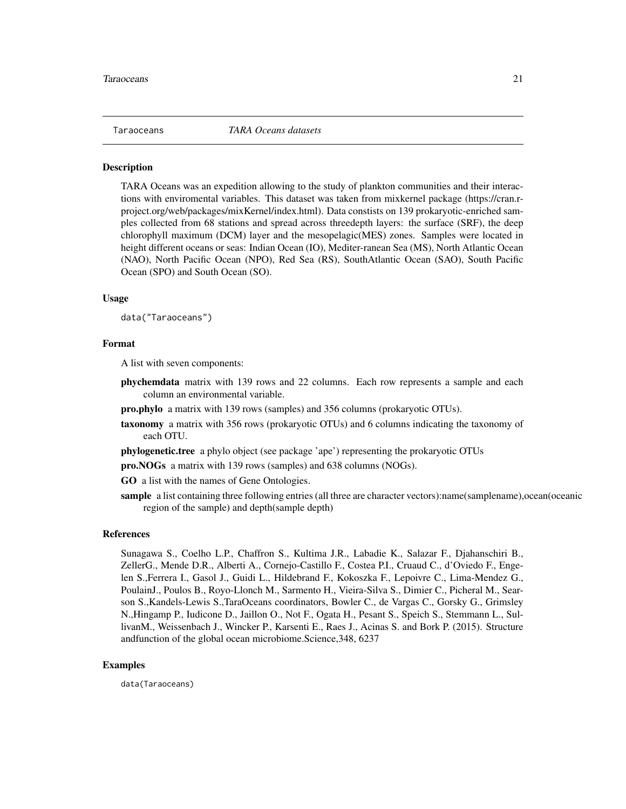<span id="page-20-0"></span>

#### **Description**

TARA Oceans was an expedition allowing to the study of plankton communities and their interactions with enviromental variables. This dataset was taken from mixkernel package (https://cran.rproject.org/web/packages/mixKernel/index.html). Data constists on 139 prokaryotic-enriched samples collected from 68 stations and spread across threedepth layers: the surface (SRF), the deep chlorophyll maximum (DCM) layer and the mesopelagic(MES) zones. Samples were located in height different oceans or seas: Indian Ocean (IO), Mediter-ranean Sea (MS), North Atlantic Ocean (NAO), North Pacific Ocean (NPO), Red Sea (RS), SouthAtlantic Ocean (SAO), South Pacific Ocean (SPO) and South Ocean (SO).

#### Usage

data("Taraoceans")

#### Format

A list with seven components:

- phychemdata matrix with 139 rows and 22 columns. Each row represents a sample and each column an environmental variable.
- pro.phylo a matrix with 139 rows (samples) and 356 columns (prokaryotic OTUs).
- taxonomy a matrix with 356 rows (prokaryotic OTUs) and 6 columns indicating the taxonomy of each OTU.

phylogenetic.tree a phylo object (see package 'ape') representing the prokaryotic OTUs

pro.NOGs a matrix with 139 rows (samples) and 638 columns (NOGs).

GO a list with the names of Gene Ontologies.

sample a list containing three following entries (all three are character vectors):name(samplename),ocean(oceanic region of the sample) and depth(sample depth)

#### References

Sunagawa S., Coelho L.P., Chaffron S., Kultima J.R., Labadie K., Salazar F., Djahanschiri B., ZellerG., Mende D.R., Alberti A., Cornejo-Castillo F., Costea P.I., Cruaud C., d'Oviedo F., Engelen S.,Ferrera I., Gasol J., Guidi L., Hildebrand F., Kokoszka F., Lepoivre C., Lima-Mendez G., PoulainJ., Poulos B., Royo-Llonch M., Sarmento H., Vieira-Silva S., Dimier C., Picheral M., Searson S.,Kandels-Lewis S.,TaraOceans coordinators, Bowler C., de Vargas C., Gorsky G., Grimsley N.,Hingamp P., Iudicone D., Jaillon O., Not F., Ogata H., Pesant S., Speich S., Stemmann L., SullivanM., Weissenbach J., Wincker P., Karsenti E., Raes J., Acinas S. and Bork P. (2015). Structure andfunction of the global ocean microbiome.Science,348, 6237

#### Examples

data(Taraoceans)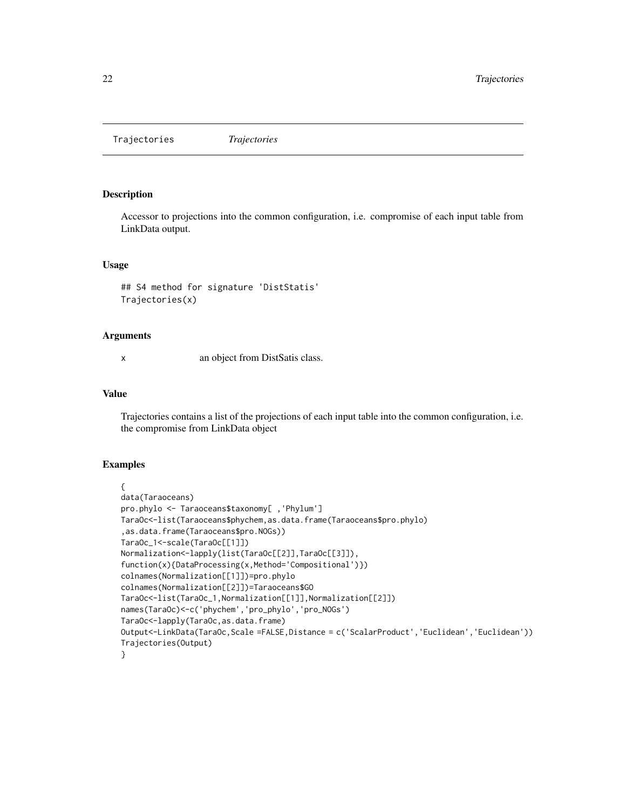<span id="page-21-0"></span>Trajectories *Trajectories*

#### Description

Accessor to projections into the common configuration, i.e. compromise of each input table from LinkData output.

## Usage

```
## S4 method for signature 'DistStatis'
Trajectories(x)
```
## Arguments

x an object from DistSatis class.

## Value

Trajectories contains a list of the projections of each input table into the common configuration, i.e. the compromise from LinkData object

```
{
data(Taraoceans)
pro.phylo <- Taraoceans$taxonomy[ ,'Phylum']
TaraOc<-list(Taraoceans$phychem,as.data.frame(Taraoceans$pro.phylo)
,as.data.frame(Taraoceans$pro.NOGs))
TaraOc_1<-scale(TaraOc[[1]])
Normalization<-lapply(list(TaraOc[[2]],TaraOc[[3]]),
function(x){DataProcessing(x,Method='Compositional')})
colnames(Normalization[[1]])=pro.phylo
colnames(Normalization[[2]])=Taraoceans$GO
TaraOc<-list(TaraOc_1,Normalization[[1]],Normalization[[2]])
names(TaraOc)<-c('phychem','pro_phylo','pro_NOGs')
TaraOc<-lapply(TaraOc,as.data.frame)
Output<-LinkData(TaraOc,Scale =FALSE,Distance = c('ScalarProduct','Euclidean','Euclidean'))
Trajectories(Output)
}
```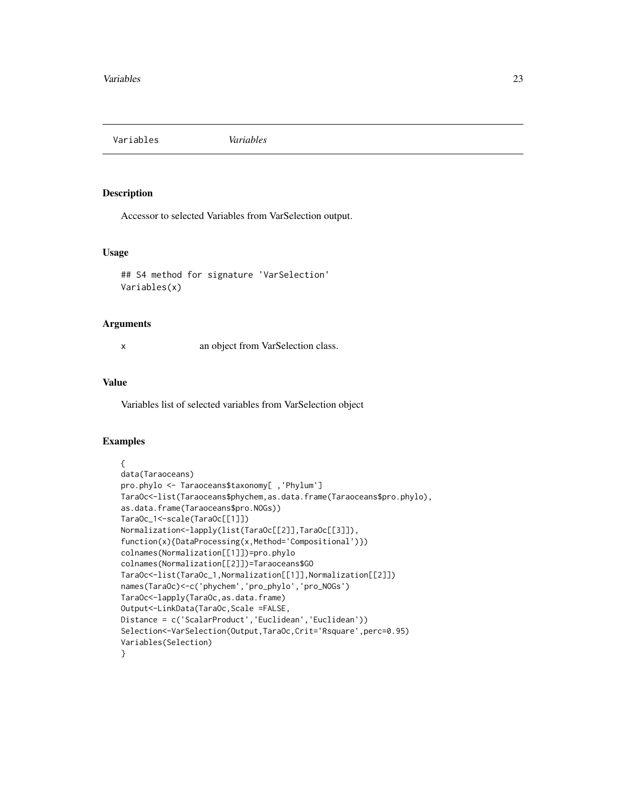<span id="page-22-0"></span>Variables *Variables*

#### Description

Accessor to selected Variables from VarSelection output.

#### Usage

```
## S4 method for signature 'VarSelection'
Variables(x)
```
#### Arguments

x an object from VarSelection class.

## Value

Variables list of selected variables from VarSelection object

```
{
data(Taraoceans)
pro.phylo <- Taraoceans$taxonomy[ ,'Phylum']
TaraOc<-list(Taraoceans$phychem,as.data.frame(Taraoceans$pro.phylo),
as.data.frame(Taraoceans$pro.NOGs))
TaraOc_1<-scale(TaraOc[[1]])
Normalization<-lapply(list(TaraOc[[2]],TaraOc[[3]]),
function(x){DataProcessing(x,Method='Compositional')})
colnames(Normalization[[1]])=pro.phylo
colnames(Normalization[[2]])=Taraoceans$GO
TaraOc<-list(TaraOc_1,Normalization[[1]],Normalization[[2]])
names(TaraOc)<-c('phychem','pro_phylo','pro_NOGs')
TaraOc<-lapply(TaraOc,as.data.frame)
Output<-LinkData(TaraOc,Scale =FALSE,
Distance = c('ScalarProduct','Euclidean','Euclidean'))
Selection<-VarSelection(Output,TaraOc,Crit='Rsquare',perc=0.95)
Variables(Selection)
}
```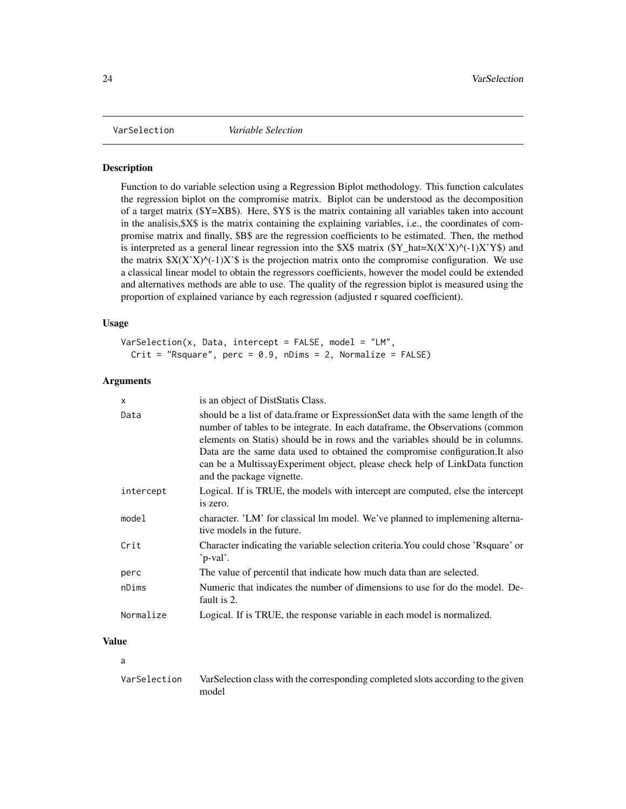<span id="page-23-0"></span>

#### **Description**

Function to do variable selection using a Regression Biplot methodology. This function calculates the regression biplot on the compromise matrix. Biplot can be understood as the decomposition of a target matrix (\$Y=XB\$). Here, \$Y\$ is the matrix containing all variables taken into account in the analisis,  $X\$  is the matrix containing the explaining variables, i.e., the coordinates of compromise matrix and finally, \$B\$ are the regression coefficients to be estimated. Then, the method is interpreted as a general linear regression into the \$X\$ matrix  $(\frac{Y}{A}hat=X(X'X)^{\wedge}(-1)X'Y\$  and the matrix  $X(X'X)^\wedge(-1)X'$  is the projection matrix onto the compromise configuration. We use a classical linear model to obtain the regressors coefficients, however the model could be extended and alternatives methods are able to use. The quality of the regression biplot is measured using the proportion of explained variance by each regression (adjusted r squared coefficient).

#### Usage

```
VarSelection(x, Data, intercept = FALSE, model = "LM",Crit = "Rsquare", perc = 0.9, nDims = 2, Normalize = FALSE)
```
## Arguments

| x         | is an object of DistStatis Class.                                                                                                                                                                                                                                                                                                                                                                                                               |
|-----------|-------------------------------------------------------------------------------------------------------------------------------------------------------------------------------------------------------------------------------------------------------------------------------------------------------------------------------------------------------------------------------------------------------------------------------------------------|
| Data      | should be a list of data.frame or ExpressionSet data with the same length of the<br>number of tables to be integrate. In each dataframe, the Observations (common<br>elements on Statis) should be in rows and the variables should be in columns.<br>Data are the same data used to obtained the compromise configuration. It also<br>can be a MultissayExperiment object, please check help of LinkData function<br>and the package vignette. |
| intercept | Logical. If is TRUE, the models with intercept are computed, else the intercept<br>is zero.                                                                                                                                                                                                                                                                                                                                                     |
| model     | character. 'LM' for classical lm model. We've planned to implemening alterna-<br>tive models in the future.                                                                                                                                                                                                                                                                                                                                     |
| Crit      | Character indicating the variable selection criteria. You could chose 'Raquare' or<br>'p-val'.                                                                                                                                                                                                                                                                                                                                                  |
| perc      | The value of percentil that indicate how much data than are selected.                                                                                                                                                                                                                                                                                                                                                                           |
| nDims     | Numeric that indicates the number of dimensions to use for do the model. De-<br>fault is 2.                                                                                                                                                                                                                                                                                                                                                     |
| Normalize | Logical. If is TRUE, the response variable in each model is normalized.                                                                                                                                                                                                                                                                                                                                                                         |

## Value

a

| VarSelection | VarSelection class with the corresponding completed slots according to the given |
|--------------|----------------------------------------------------------------------------------|
|              | model                                                                            |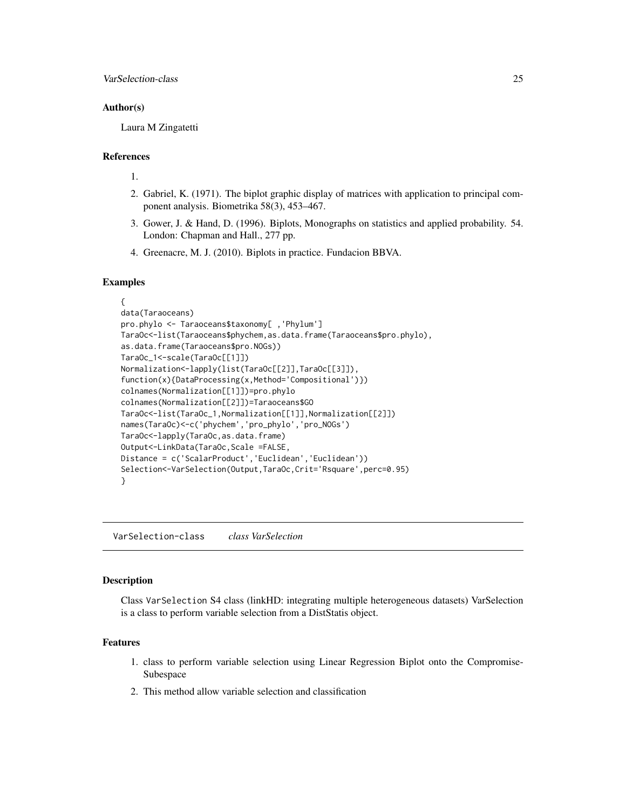## <span id="page-24-0"></span>Author(s)

Laura M Zingatetti

## References

1.

- 2. Gabriel, K. (1971). The biplot graphic display of matrices with application to principal component analysis. Biometrika 58(3), 453–467.
- 3. Gower, J. & Hand, D. (1996). Biplots, Monographs on statistics and applied probability. 54. London: Chapman and Hall., 277 pp.
- 4. Greenacre, M. J. (2010). Biplots in practice. Fundacion BBVA.

#### Examples

```
{
data(Taraoceans)
pro.phylo <- Taraoceans$taxonomy[ ,'Phylum']
TaraOc<-list(Taraoceans$phychem,as.data.frame(Taraoceans$pro.phylo),
as.data.frame(Taraoceans$pro.NOGs))
TaraOc_1<-scale(TaraOc[[1]])
Normalization<-lapply(list(TaraOc[[2]],TaraOc[[3]]),
function(x){DataProcessing(x,Method='Compositional')})
colnames(Normalization[[1]])=pro.phylo
colnames(Normalization[[2]])=Taraoceans$GO
TaraOc<-list(TaraOc_1,Normalization[[1]],Normalization[[2]])
names(TaraOc)<-c('phychem','pro_phylo','pro_NOGs')
TaraOc<-lapply(TaraOc,as.data.frame)
Output<-LinkData(TaraOc,Scale =FALSE,
Distance = c('ScalarProduct','Euclidean','Euclidean'))
Selection<-VarSelection(Output,TaraOc,Crit='Rsquare',perc=0.95)
}
```
VarSelection-class *class VarSelection*

#### Description

Class VarSelection S4 class (linkHD: integrating multiple heterogeneous datasets) VarSelection is a class to perform variable selection from a DistStatis object.

#### Features

- 1. class to perform variable selection using Linear Regression Biplot onto the Compromise-Subespace
- 2. This method allow variable selection and classification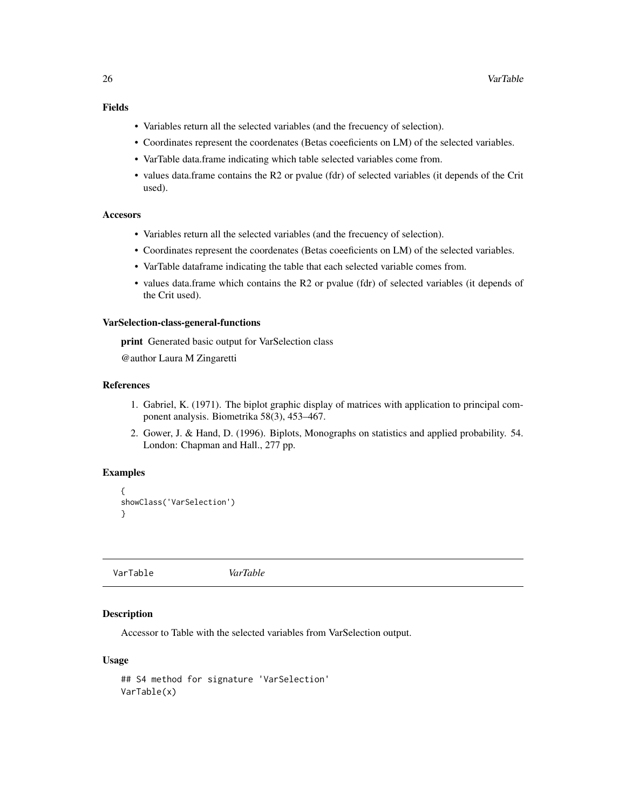## <span id="page-25-0"></span>Fields

- Variables return all the selected variables (and the frecuency of selection).
- Coordinates represent the coordenates (Betas coeeficients on LM) of the selected variables.
- VarTable data.frame indicating which table selected variables come from.
- values data.frame contains the R2 or pvalue (fdr) of selected variables (it depends of the Crit used).

#### Accesors

- Variables return all the selected variables (and the frecuency of selection).
- Coordinates represent the coordenates (Betas coeeficients on LM) of the selected variables.
- VarTable dataframe indicating the table that each selected variable comes from.
- values data.frame which contains the R2 or pvalue (fdr) of selected variables (it depends of the Crit used).

#### VarSelection-class-general-functions

print Generated basic output for VarSelection class

@author Laura M Zingaretti

#### References

- 1. Gabriel, K. (1971). The biplot graphic display of matrices with application to principal component analysis. Biometrika 58(3), 453–467.
- 2. Gower, J. & Hand, D. (1996). Biplots, Monographs on statistics and applied probability. 54. London: Chapman and Hall., 277 pp.

## Examples

```
{
showClass('VarSelection')
}
```
VarTable *VarTable*

#### Description

Accessor to Table with the selected variables from VarSelection output.

#### Usage

```
## S4 method for signature 'VarSelection'
VarTable(x)
```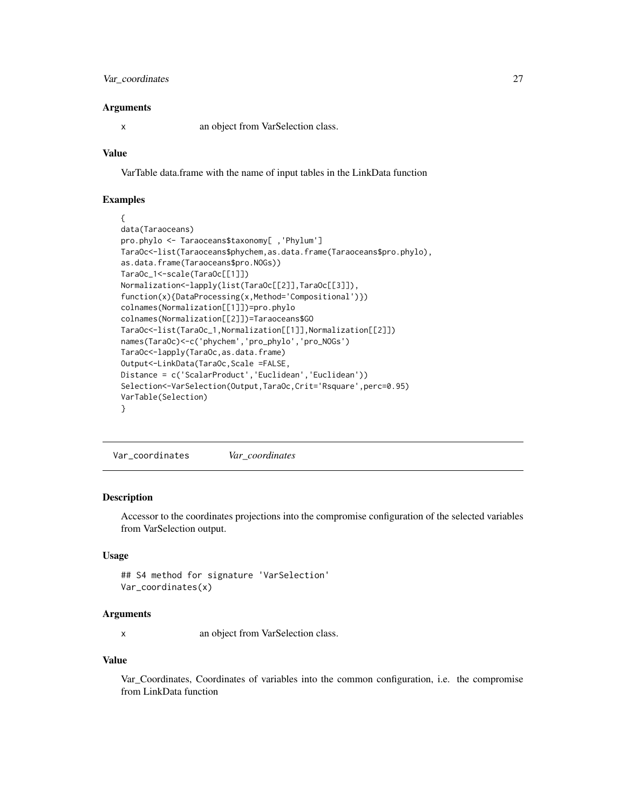## <span id="page-26-0"></span>Var\_coordinates 27

#### Arguments

x an object from VarSelection class.

#### Value

VarTable data.frame with the name of input tables in the LinkData function

## Examples

```
{
data(Taraoceans)
pro.phylo <- Taraoceans$taxonomy[ ,'Phylum']
TaraOc <- list(Taraoceans$phychem, as.data.frame(Taraoceans$pro.phylo),
as.data.frame(Taraoceans$pro.NOGs))
TaraOc_1<-scale(TaraOc[[1]])
Normalization<-lapply(list(TaraOc[[2]],TaraOc[[3]]),
function(x){DataProcessing(x,Method='Compositional')})
colnames(Normalization[[1]])=pro.phylo
colnames(Normalization[[2]])=Taraoceans$GO
TaraOc<-list(TaraOc_1,Normalization[[1]],Normalization[[2]])
names(TaraOc)<-c('phychem','pro_phylo','pro_NOGs')
TaraOc<-lapply(TaraOc,as.data.frame)
Output<-LinkData(TaraOc,Scale =FALSE,
Distance = c('ScalarProduct','Euclidean','Euclidean'))
Selection<-VarSelection(Output,TaraOc,Crit='Rsquare',perc=0.95)
VarTable(Selection)
}
```
Var\_coordinates *Var\_coordinates*

#### Description

Accessor to the coordinates projections into the compromise configuration of the selected variables from VarSelection output.

#### Usage

```
## S4 method for signature 'VarSelection'
Var_coordinates(x)
```
#### Arguments

x an object from VarSelection class.

#### Value

Var\_Coordinates, Coordinates of variables into the common configuration, i.e. the compromise from LinkData function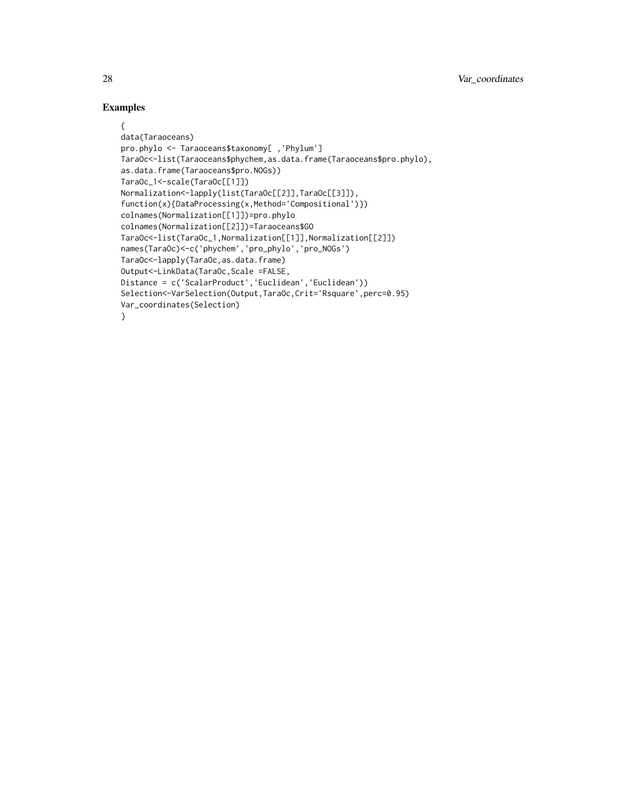```
{
data(Taraoceans)
pro.phylo <- Taraoceans$taxonomy[ ,'Phylum']
TaraOc<-list(Taraoceans$phychem,as.data.frame(Taraoceans$pro.phylo),
as.data.frame(Taraoceans$pro.NOGs))
TaraOc_1<-scale(TaraOc[[1]])
Normalization<-lapply(list(TaraOc[[2]],TaraOc[[3]]),
function(x){DataProcessing(x,Method='Compositional')})
colnames(Normalization[[1]])=pro.phylo
colnames(Normalization[[2]])=Taraoceans$GO
TaraOc<-list(TaraOc_1,Normalization[[1]],Normalization[[2]])
names(TaraOc)<-c('phychem','pro_phylo','pro_NOGs')
TaraOc<-lapply(TaraOc,as.data.frame)
Output<-LinkData(TaraOc,Scale =FALSE,
Distance = c('ScalarProduct','Euclidean','Euclidean'))
Selection<-VarSelection(Output,TaraOc,Crit='Rsquare',perc=0.95)
Var_coordinates(Selection)
}
```